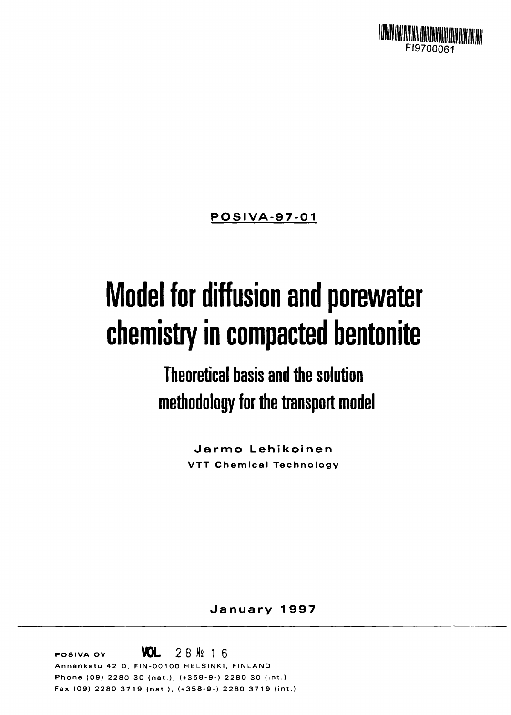

**POSIVA-97-01**

# **Model for diffusion and porewater chemistry in compacted bentonite**

**Theoretical basis and the solution methodology for the transport model**

> **Jarmo Lehikoinen VTT Chemical Technology**

> > **January 1 997**

**WOL** 28 **N**<sup>2</sup> 16 **Annankat u 4 2 D. FIN-OO1O O HELSINKI . FINLAN <sup>D</sup> Phon e (09 ) 228 0 3 0 (net) , ( + 358-9- ) 228 O 3 0 (int. ) F a x (09 ) 228 0 371 9 (nat) . ( + 358-9- ) 228 0 371 9 (int. )**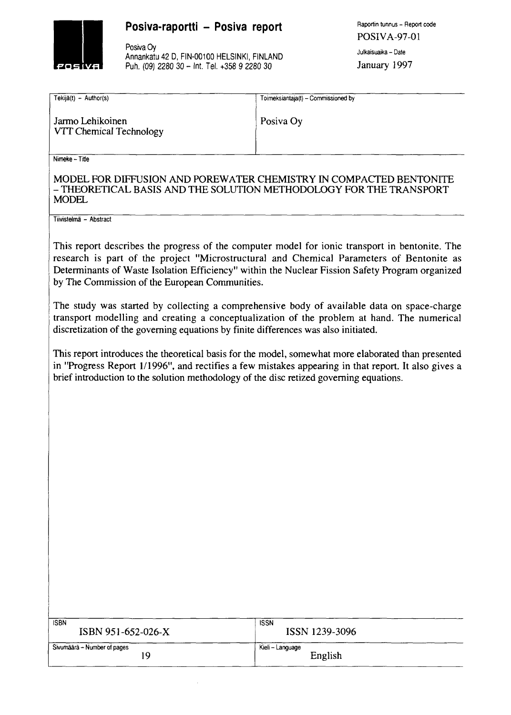

### **Posiva-raportti - Posiva report** Raportin tunnus - Report code

Posiva Oy<br>Annankatu 42 D, FIN-00100 HELSINKI, FINLAND Julkaisuaika – Date<br>Puh. (09) 2280 30 – Int. Tel. +358 9 2280 30 January 1997 Puh. (09) 2280 30 - Int. Tel. +358 9 2280 30

POSIVA-97-01

| Tekijä(t) – Author(s)                       | Toimeksiantaja(t) - Commissioned by |  |  |
|---------------------------------------------|-------------------------------------|--|--|
| Jarmo Lehikoinen<br>VTT Chemical Technology | Posiva Oy                           |  |  |

Nimeke - Title

#### MODEL FOR DIFFUSION AND POREWATER CHEMISTRY IN COMPACTED BENTONITE - THEORETICAL BASIS AND THE SOLUTION METHODOLOGY FOR THE TRANSPORT **MODEL**

Tiivistelma - Abstract

This report describes the progress of the computer model for ionic transport in bentonite. The research is part of the project "Microstructural and Chemical Parameters of Bentonite as Determinants of Waste Isolation Efficiency" within the Nuclear Fission Safety Program organized by The Commission of the European Communities.

The study was started by collecting a comprehensive body of available data on space-charge transport modelling and creating a conceptualization of the problem at hand. The numerical discretization of the governing equations by finite differences was also initiated.

This report introduces the theoretical basis for the model, somewhat more elaborated than presented in "Progress Report 1/1996", and rectifies a few mistakes appearing in that report. It also gives a brief introduction to the solution methodology of the disc retized governing equations.

| <b>ISBN</b>                 | <b>ISSN</b>      |
|-----------------------------|------------------|
| ISBN 951-652-026-X          | ISSN 1239-3096   |
| Sivumäärä – Number of pages | Kieli – Language |
| 19                          | English          |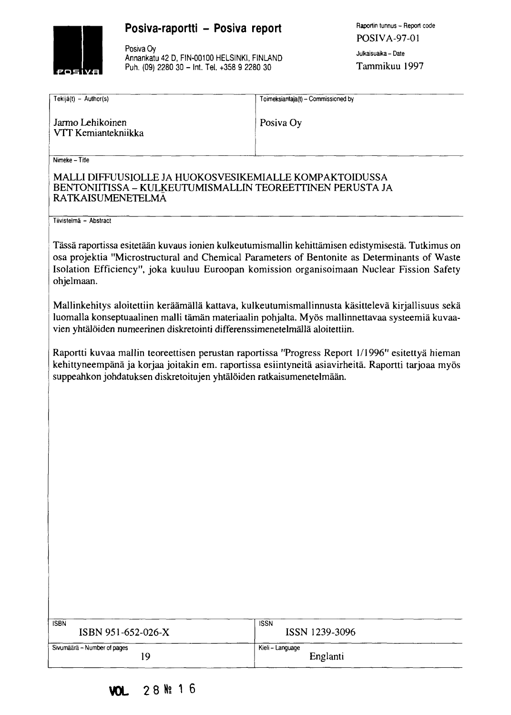# POSIVE

# Posiva-raportti - Posiva report

Posiva Oy Annankatu 42 D, FIN-00100 HELSINKI, FINLAND Puh. (09) 2280 30 - Int. Tel. +358 9 2280 30

Raportin tunnus - Report code POSIVA-97-01 Julkaisuaika - Date Tammikuu 1997

| Tekijä(t) - Author(s)                                                                                                                            | Toimeksiantaja(t) - Commissioned by                                                                                                                                                                                                                                                              |  |  |  |
|--------------------------------------------------------------------------------------------------------------------------------------------------|--------------------------------------------------------------------------------------------------------------------------------------------------------------------------------------------------------------------------------------------------------------------------------------------------|--|--|--|
| Jarmo Lehikoinen<br>VTT Kemiantekniikka                                                                                                          | Posiva Oy                                                                                                                                                                                                                                                                                        |  |  |  |
| Nimeke - Title                                                                                                                                   |                                                                                                                                                                                                                                                                                                  |  |  |  |
| MALLI DIFFUUSIOLLE JA HUOKOSVESIKEMIALLE KOMPAKTOIDUSSA<br>BENTONIITISSA – KULKEUTUMISMALLIN TEOREETTINEN PERUSTA JA<br><b>RATKAISUMENETELMA</b> |                                                                                                                                                                                                                                                                                                  |  |  |  |
| Tiivistelmä - Abstract                                                                                                                           |                                                                                                                                                                                                                                                                                                  |  |  |  |
| ohjelmaan.                                                                                                                                       | Tässä raportissa esitetään kuvaus ionien kulkeutumismallin kehittämisen edistymisestä. Tutkimus on<br>osa projektia "Microstructural and Chemical Parameters of Bentonite as Determinants of Waste<br>Isolation Efficiency", joka kuuluu Euroopan komission organisoimaan Nuclear Fission Safety |  |  |  |
| vien yhtälöiden numeerinen diskretointi differenssimenetelmällä aloitettiin.                                                                     | Mallinkehitys aloitettiin keräämällä kattava, kulkeutumismallinnusta käsittelevä kirjallisuus sekä<br>luomalla konseptuaalinen malli tämän materiaalin pohjalta. Myös mallinnettavaa systeemiä kuvaa-                                                                                            |  |  |  |
| suppeahkon johdatuksen diskretoitujen yhtälöiden ratkaisumenetelmään.                                                                            | Raportti kuvaa mallin teoreettisen perustan raportissa "Progress Report 1/1996" esitettyä hieman<br>kehittyneempänä ja korjaa joitakin em. raportissa esiintyneitä asiavirheitä. Raportti tarjoaa myös                                                                                           |  |  |  |
|                                                                                                                                                  |                                                                                                                                                                                                                                                                                                  |  |  |  |
|                                                                                                                                                  |                                                                                                                                                                                                                                                                                                  |  |  |  |
|                                                                                                                                                  |                                                                                                                                                                                                                                                                                                  |  |  |  |
|                                                                                                                                                  |                                                                                                                                                                                                                                                                                                  |  |  |  |
|                                                                                                                                                  |                                                                                                                                                                                                                                                                                                  |  |  |  |
|                                                                                                                                                  |                                                                                                                                                                                                                                                                                                  |  |  |  |
|                                                                                                                                                  |                                                                                                                                                                                                                                                                                                  |  |  |  |
|                                                                                                                                                  |                                                                                                                                                                                                                                                                                                  |  |  |  |
|                                                                                                                                                  |                                                                                                                                                                                                                                                                                                  |  |  |  |
|                                                                                                                                                  |                                                                                                                                                                                                                                                                                                  |  |  |  |
|                                                                                                                                                  |                                                                                                                                                                                                                                                                                                  |  |  |  |
| <b>ISBN</b>                                                                                                                                      | <b>ISSN</b>                                                                                                                                                                                                                                                                                      |  |  |  |
| ISBN 951-652-026-X                                                                                                                               | ISSN 1239-3096                                                                                                                                                                                                                                                                                   |  |  |  |
| Sivumäärä - Number of pages<br>19                                                                                                                | Kieli - Language<br>Englanti                                                                                                                                                                                                                                                                     |  |  |  |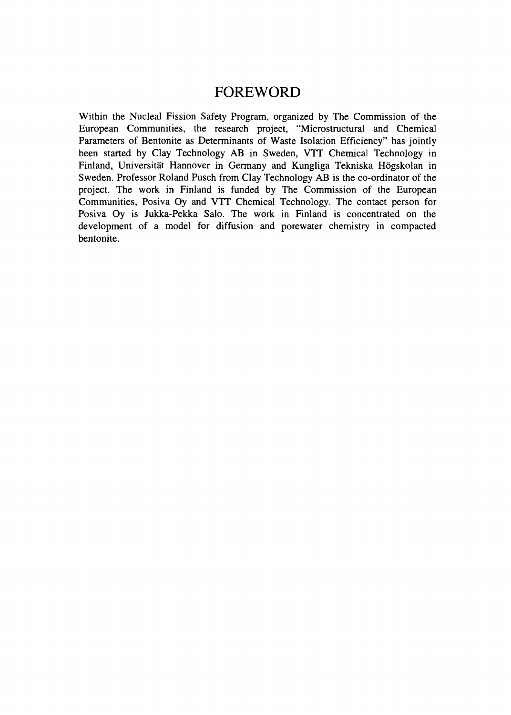# FOREWORD

Within the Nucleal Fission Safety Program, organized by The Commission of the European Communities, the research project, "Microstructural and Chemical Parameters of Bentonite as Determinants of Waste Isolation Efficiency" has jointly been started by Clay Technology AB in Sweden, VTT Chemical Technology in Finland, Universität Hannover in Germany and Kungliga Tekniska Högskolan in Sweden. Professor Roland Pusch from Clay Technology AB is the co-ordinator of the project. The work in Finland is funded by The Commission of the European Communities, Posiva Oy and VTT Chemical Technology. The contact person for Posiva Oy is Jukka-Pekka Salo. The work in Finland is concentrated on the development of a model for diffusion and porewater chemistry in compacted bentonite.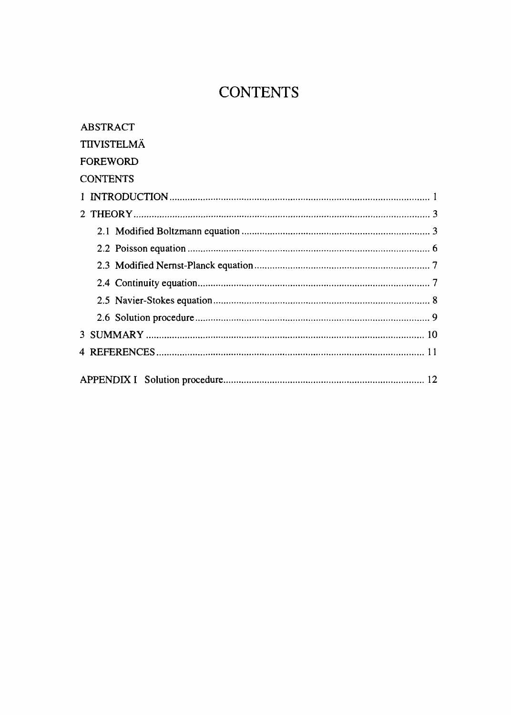# **CONTENTS**

| <b>ABSTRACT</b>    |
|--------------------|
| <b>TIIVISTELMÄ</b> |
| <b>FOREWORD</b>    |
| <b>CONTENTS</b>    |
|                    |
|                    |
|                    |
|                    |
|                    |
|                    |
|                    |
|                    |
|                    |
|                    |
|                    |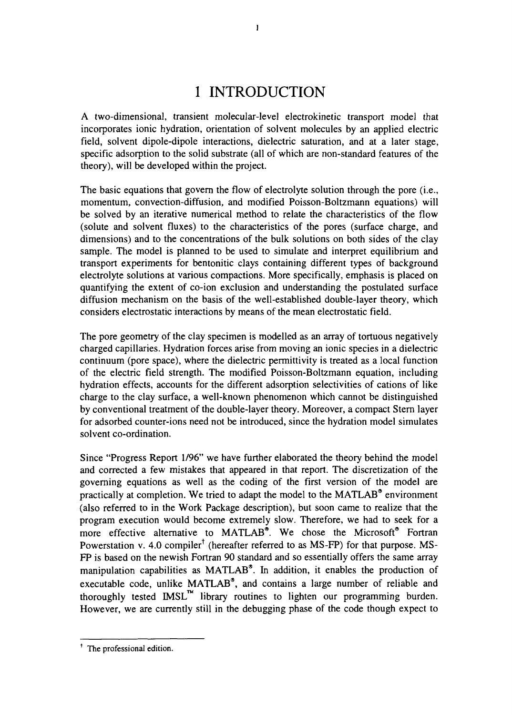# 1 INTRODUCTION

A two-dimensional, transient molecular-level electrokinetic transport model that incorporates ionic hydration, orientation of solvent molecules by an applied electric field, solvent dipole-dipole interactions, dielectric saturation, and at a later stage, specific adsorption to the solid substrate (all of which are non-standard features of the theory), will be developed within the project.

The basic equations that govern the flow of electrolyte solution through the pore (i.e., momentum, convection-diffusion, and modified Poisson-Boltzmann equations) will be solved by an iterative numerical method to relate the characteristics of the flow (solute and solvent fluxes) to the characteristics of the pores (surface charge, and dimensions) and to the concentrations of the bulk solutions on both sides of the clay sample. The model is planned to be used to simulate and interpret equilibrium and transport experiments for bentonitic clays containing different types of background electrolyte solutions at various compactions. More specifically, emphasis is placed on quantifying the extent of co-ion exclusion and understanding the postulated surface diffusion mechanism on the basis of the well-established double-layer theory, which considers electrostatic interactions by means of the mean electrostatic field.

The pore geometry of the clay specimen is modelled as an array of tortuous negatively charged capillaries. Hydration forces arise from moving an ionic species in a dielectric continuum (pore space), where the dielectric permittivity is treated as a local function of the electric field strength. The modified Poisson-Boltzmann equation, including hydration effects, accounts for the different adsorption selectivities of cations of like charge to the clay surface, a well-known phenomenon which cannot be distinguished by conventional treatment of the double-layer theory. Moreover, a compact Stern layer for adsorbed counter-ions need not be introduced, since the hydration model simulates solvent co-ordination.

Since "Progress Report 1/96" we have further elaborated the theory behind the model and corrected a few mistakes that appeared in that report. The discretization of the governing equations as well as the coding of the first version of the model are practically at completion. We tried to adapt the model to the MATLAB® environment (also referred to in the Work Package description), but soon came to realize that the program execution would become extremely slow. Therefore, we had to seek for a more effective alternative to MATLAB®. We chose the Microsoft® Fortran Powerstation v. 4.0 compiler<sup>†</sup> (hereafter referred to as MS-FP) for that purpose. MS-FP is based on the newish Fortran 90 standard and so essentially offers the same array manipulation capabilities as MATLAB®. In addition, it enables the production of executable code, unlike MATLAB®, and contains a large number of reliable and thoroughly tested  $\text{IMSL}^{\mathfrak{m}}$  library routines to lighten our programming burden. However, we are currently still in the debugging phase of the code though expect to

<sup>&</sup>lt;sup>†</sup> The professional edition.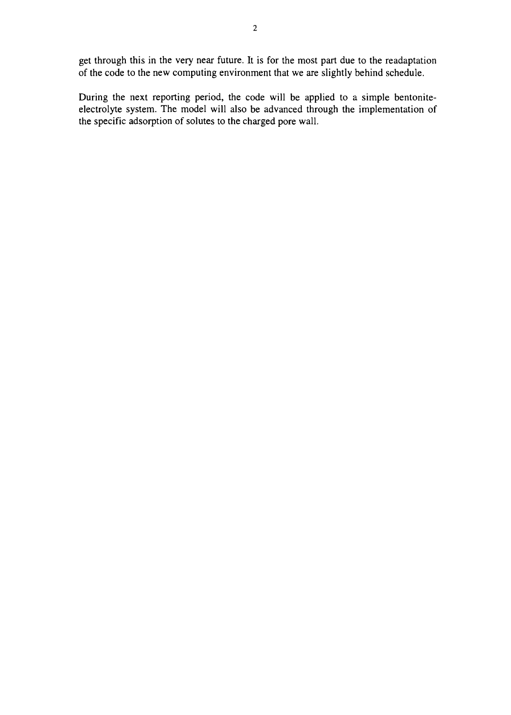get through this in the very near future. It is for the most part due to the readaptation of the code to the new computing environment that we are slightly behind schedule.

During the next reporting period, the code will be applied to a simple bentoniteelectrolyte system. The model will also be advanced through the implementation of the specific adsorption of solutes to the charged pore wall.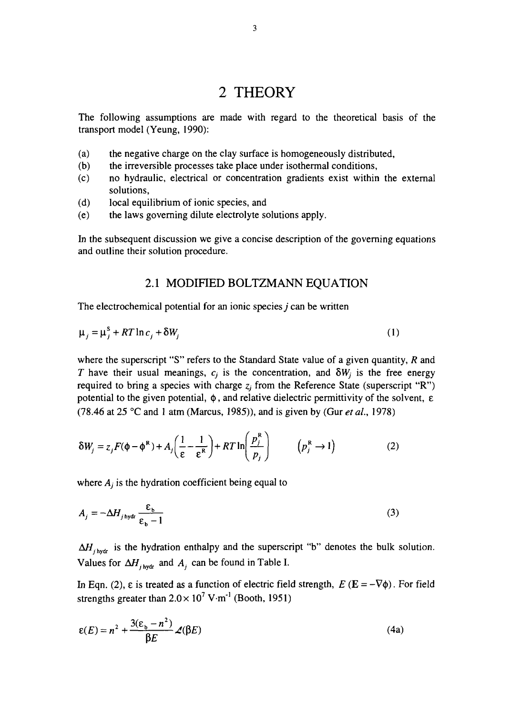# 2 THEORY

The following assumptions are made with regard to the theoretical basis of the transport model (Yeung, 1990):

- (a) the negative charge on the clay surface is homogeneously distributed,
- (b) the irreversible processes take place under isothermal conditions,
- (c) no hydraulic, electrical or concentration gradients exist within the external solutions,
- (d) local equilibrium of ionic species, and
- (e) the laws governing dilute electrolyte solutions apply.

In the subsequent discussion we give a concise description of the governing equations and outline their solution procedure.

#### 2.1 MODIFIED BOLTZMANN EQUATION

The electrochemical potential for an ionic species *j* can be written

$$
\mu_j = \mu_j^S + RT \ln c_j + \delta W_j \tag{1}
$$

where the superscript "S" refers to the Standard State value of a given quantity, *R* and *T* have their usual meanings,  $c_j$  is the concentration, and  $\delta W_j$  is the free energy required to bring a species with charge  $z_j$  from the Reference State (superscript "R") potential to the given potential,  $\phi$ , and relative dielectric permittivity of the solvent,  $\varepsilon$ (78.46 at 25 °C and 1 atm (Marcus, 1985)), and is given by (Gur *etal,* 1978)

$$
\delta W_j = z_j F(\phi - \phi^R) + A_j \left( \frac{1}{\varepsilon} - \frac{1}{\varepsilon^R} \right) + RT \ln \left( \frac{p_j^R}{p_j} \right) \qquad (p_j^R \to 1)
$$
 (2)

where  $A_j$  is the hydration coefficient being equal to

$$
A_j = -\Delta H_{j\text{ bydr}} \frac{\varepsilon_b}{\varepsilon_b - 1} \tag{3}
$$

 $\Delta H_{j\text{ hydr}}$  is the hydration enthalpy and the superscript "b" denotes the bulk solution. Values for  $\Delta H$ <sub>*j*hydr</sub> and  $A_j$  can be found in Table I.

In Eqn. (2),  $\varepsilon$  is treated as a function of electric field strength,  $E(E = -\nabla\phi)$ . For field strengths greater than  $2.0 \times 10^7$  V $\cdot$ m<sup>-1</sup> (Booth, 1951)

$$
\varepsilon(E) = n^2 + \frac{3(\varepsilon_b - n^2)}{\beta E} \mathcal{L}(\beta E)
$$
 (4a)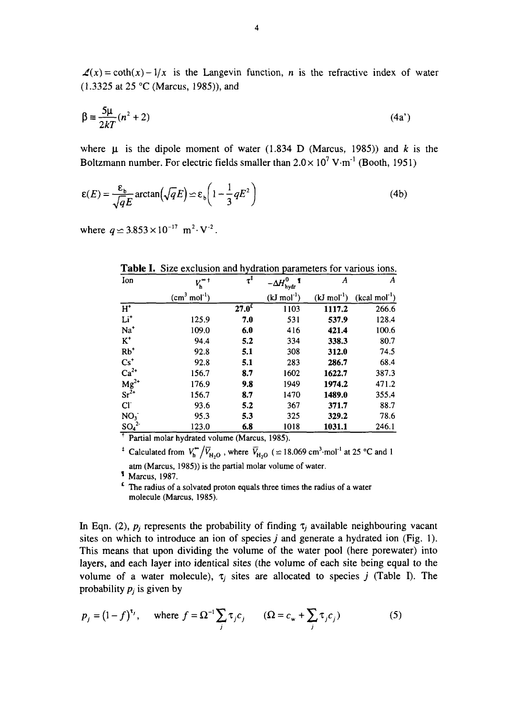$\mathcal{L}(x) = \coth(x) - 1/x$  is the Langevin function, *n* is the refractive index of water (1.3325 at 25 °C (Marcus, 1985)), and

$$
\beta \equiv \frac{5\mu}{2kT} (n^2 + 2) \tag{4a'}
$$

where  $\mu$  is the dipole moment of water (1.834 D (Marcus, 1985)) and *k* is the Boltzmann number. For electric fields smaller than  $2.0 \times 10^7$  V·m<sup>-1</sup> (Booth, 1951)

$$
\varepsilon(E) = \frac{\varepsilon_{\text{b}}}{\sqrt{qE}} \arctan\left(\sqrt{qE}\right) \simeq \varepsilon_{\text{b}} \left(1 - \frac{1}{3} qE^2\right) \tag{4b}
$$

where  $q \approx 3.853 \times 10^{-17} \text{ m}^2 \cdot \text{V}^{-2}$ .

| Ion                                               | $V_{\sf h}^{\bullet\,\dagger}$ | $\tau^{\ddagger}$ | $-\Delta H_{\text{hydro}}^0$ | A                       | A              |
|---------------------------------------------------|--------------------------------|-------------------|------------------------------|-------------------------|----------------|
|                                                   | $(cm3 mol-1)$                  |                   | $(kJ \text{ mol}^{-1})$      | $(kJ \text{ mol}^{-1})$ | $(kcal mol-1)$ |
| $H^*$                                             |                                | $27.0^{\text{f}}$ | 1103                         | 1117.2                  | 266.6          |
| $Li+$                                             | 125.9                          | 7.0               | 531                          | 537.9                   | 128.4          |
| $Na+$                                             | 109.0                          | 6.0               | 416                          | 421.4                   | 100.6          |
| $\mathbf{K}^+$                                    | 94.4                           | 5.2               | 334                          | 338.3                   | 80.7           |
| $Rb^*$                                            | 92.8                           | 5.1               | 308                          | 312.0                   | 74.5           |
| $Cs^+$                                            | 92.8                           | 5.1               | 283                          | 286.7                   | 68.4           |
| $Ca^{2+}$<br>Mg <sup>2+</sup><br>Sr <sup>2+</sup> | 156.7                          | 8.7               | 1602                         | 1622.7                  | 387.3          |
|                                                   | 176.9                          | 9.8               | 1949                         | 1974.2                  | 471.2          |
|                                                   | 156.7                          | 8.7               | 1470                         | 1489.0                  | 355.4          |
| CI                                                | 93.6                           | 5.2               | 367                          | 371.7                   | 88.7           |
| NO <sub>3</sub>                                   | 95.3                           | 5.3               | 325                          | 329.2                   | 78.6           |
| $\frac{{\rm SO_4}^2}{1}$                          | 123.0                          | 6.8               | 1018                         | 1031.1                  | 246.1          |

**Table I.** Size exclusion and hydration parameters for various ions.

Partial molar hydrated volume (Marcus, 1985).

<sup>‡</sup> Calculated from  $V_h^{\infty}/\overline{V}_{H_2O}$  , where  $\overline{V}_{H_2O}$  ( $\simeq$  18.069 cm<sup>3</sup>·mol<sup>-1</sup> at 25 °C and 1 atm (Marcus, 1985)) is the partial molar volume of water.

*1* Marcus, 1987.

 $f$  The radius of a solvated proton equals three times the radius of a water molecule (Marcus, 1985).

In Eqn. (2),  $p_i$  represents the probability of finding  $\tau_i$  available neighbouring vacant sites on which to introduce an ion of species *j* and generate a hydrated ion (Fig. 1). This means that upon dividing the volume of the water pool (here porewater) into layers, and each layer into identical sites (the volume of each site being equal to the volume of a water molecule),  $\tau_i$  sites are allocated to species *j* (Table I). The probability *pj* is given by

$$
p_j = (1 - f)^{\tau_j}, \quad \text{where } f = \Omega^{-1} \sum_j \tau_j c_j \qquad (\Omega = c_w + \sum_j \tau_j c_j)
$$
 (5)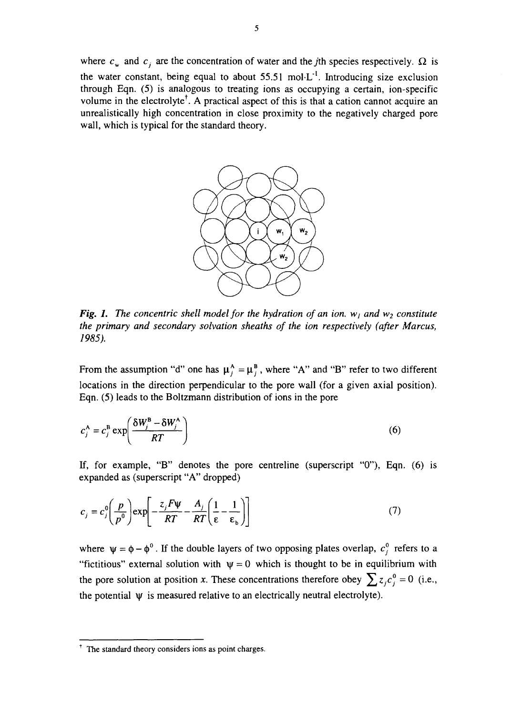where  $c_w$  and  $c_i$  are the concentration of water and the *j*th species respectively.  $\Omega$  is the water constant, being equal to about  $55.51 \text{ mol} \cdot L^{-1}$ . Introducing size exclusion through Eqn. (5) is analogous to treating ions as occupying a certain, ion-specific volume in the electrolyte<sup>†</sup>. A practical aspect of this is that a cation cannot acquire an unrealistically high concentration in close proximity to the negatively charged pore wall, which is typical for the standard theory.



*Fig. 1. The concentric shell model for the hydration of an ion.* $w_1$  **and**  $w_2$  **constitute** *the primary and secondary solvation sheaths of the ion respectively (after Marcus, 1985).*

From the assumption "d" one has  $\mu_i^A = \mu_i^B$ , where "A" and "B" refer to two different locations in the direction perpendicular to the pore wall (for a given axial position). Eqn. (5) leads to the Boltzmann distribution of ions in the pore

$$
c_j^{\mathbf{A}} = c_j^{\mathbf{B}} \exp\left(\frac{\delta W_j^{\mathbf{B}} - \delta W_j^{\mathbf{A}}}{RT}\right) \tag{6}
$$

If, for example, "B" denotes the pore centreline (superscript "0"), Eqn. (6) is expanded as (superscript "A" dropped)

$$
c_j = c_j^0 \left(\frac{p}{p^0}\right) \exp\left[-\frac{z_j F \psi}{RT} - \frac{A_j}{RT} \left(\frac{1}{\varepsilon} - \frac{1}{\varepsilon_b}\right)\right]
$$
(7)

where  $\psi = \phi - \phi^0$ . If the double layers of two opposing plates overlap,  $c_j^0$  refers to a "fictitious" external solution with  $\psi = 0$  which is thought to be in equilibrium with the pore solution at position x. These concentrations therefore obey  $\sum z_i c_i^0 = 0$  (i.e., the potential  $\psi$  is measured relative to an electrically neutral electrolyte).

f The standard theory considers ions as point charges.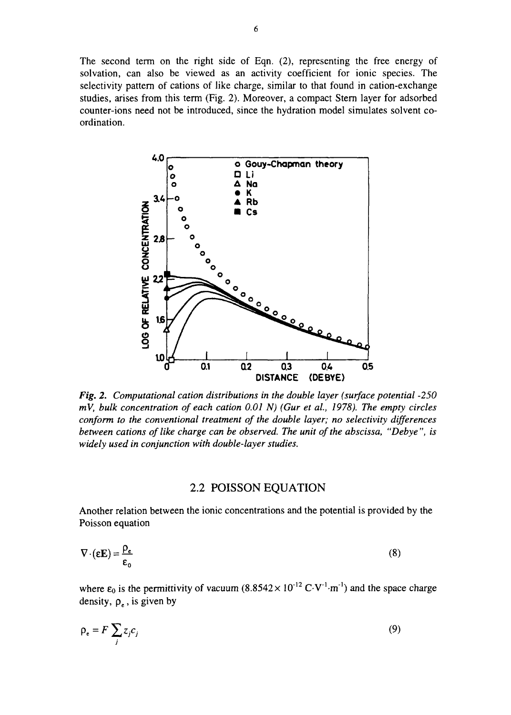The second term on the right side of Eqn. (2), representing the free energy of solvation, can also be viewed as an activity coefficient for ionic species. The selectivity pattern of cations of like charge, similar to that found in cation-exchange studies, arises from this term (Fig. 2). Moreover, a compact Stern layer for adsorbed counter-ions need not be introduced, since the hydration model simulates solvent coordination.



*Fig. 2. Computational cation distributions in the double layer {surface potential -250 mV, bulk concentration of each cation 0.01 N) (Gur et al., 1978). The empty circles conform to the conventional treatment of the double layer; no selectivity differences between cations of like charge can be observed. The unit of the abscissa, "Debye ", is widely used in conjunction with double-layer studies.*

#### 2.2 POISSON EQUATION

Another relation between the ionic concentrations and the potential is provided by the Poisson equation

$$
\nabla \cdot (\varepsilon \mathbf{E}) = \frac{\rho_e}{\varepsilon_0} \tag{8}
$$

where  $\varepsilon_0$  is the permittivity of vacuum  $(8.8542 \times 10^{-12} \text{ C} \cdot \text{V}^{-1} \cdot \text{m}^{-1})$  and the space charge density,  $\rho_e$ , is given by

$$
\rho_e = F \sum_j z_j c_j \tag{9}
$$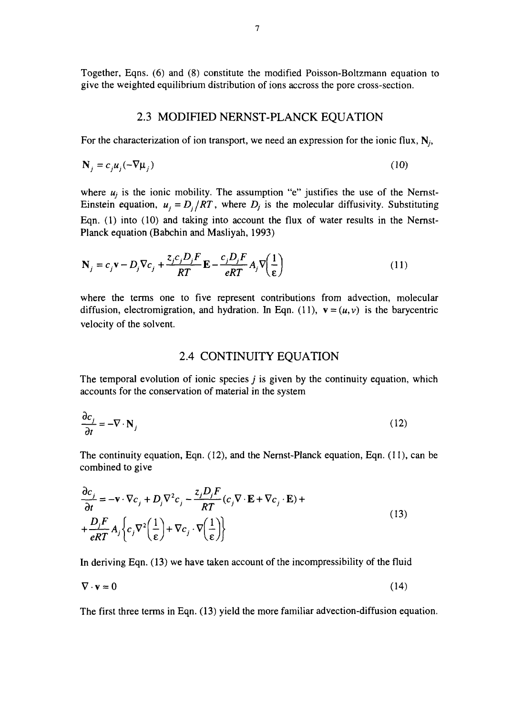Together, Eqns. (6) and (8) constitute the modified Poisson-Boltzmann equation to give the weighted equilibrium distribution of ions accross the pore cross-section.

#### 2.3 MODIFIED NERNST-PLANCK EQUATION

For the characterization of ion transport, we need an expression for the ionic flux,  $N_i$ ,

$$
\mathbf{N}_j = c_j \mu_j (-\nabla \mu_j) \tag{10}
$$

where  $u_j$  is the ionic mobility. The assumption "e" justifies the use of the Nernst-Einstein equation,  $u_j = D_j / RT$ , where  $D_j$  is the molecular diffusivity. Substituting Eqn. (1) into (10) and taking into account the flux of water results in the Nernst-Planck equation (Babchin and Masliyah, 1993)

$$
\mathbf{N}_{j} = c_{j}\mathbf{v} - D_{j}\nabla c_{j} + \frac{z_{j}c_{j}D_{j}F}{RT}\mathbf{E} - \frac{c_{j}D_{j}F}{eRT}A_{j}\nabla\left(\frac{1}{\varepsilon}\right)
$$
(11)

where the terms one to five represent contributions from advection, molecular diffusion, electromigration, and hydration. In Eqn. (11),  $\mathbf{v} = (u, v)$  is the barycentric velocity of the solvent.

#### 2.4 CONTINUITY EQUATION

The temporal evolution of ionic species *j* is given by the continuity equation, which accounts for the conservation of material in the system

$$
\frac{\partial c_j}{\partial t} = -\nabla \cdot \mathbf{N}_j \tag{12}
$$

The continuity equation, Eqn. (12), and the Nernst-Planck equation, Eqn. (11), can be combined to give

$$
\frac{\partial c_j}{\partial t} = -\mathbf{v} \cdot \nabla c_j + D_j \nabla^2 c_j - \frac{z_j D_j F}{RT} (c_j \nabla \cdot \mathbf{E} + \nabla c_j \cdot \mathbf{E}) +
$$
\n
$$
+ \frac{D_j F}{eRT} A_j \left\{ c_j \nabla^2 \left( \frac{1}{\epsilon} \right) + \nabla c_j \cdot \nabla \left( \frac{1}{\epsilon} \right) \right\} \tag{13}
$$

In deriving Eqn. (13) we have taken account of the incompressibility of the fluid

$$
\nabla \cdot \mathbf{v} = 0 \tag{14}
$$

The first three terms in Eqn. (13) yield the more familiar advection-diffusion equation.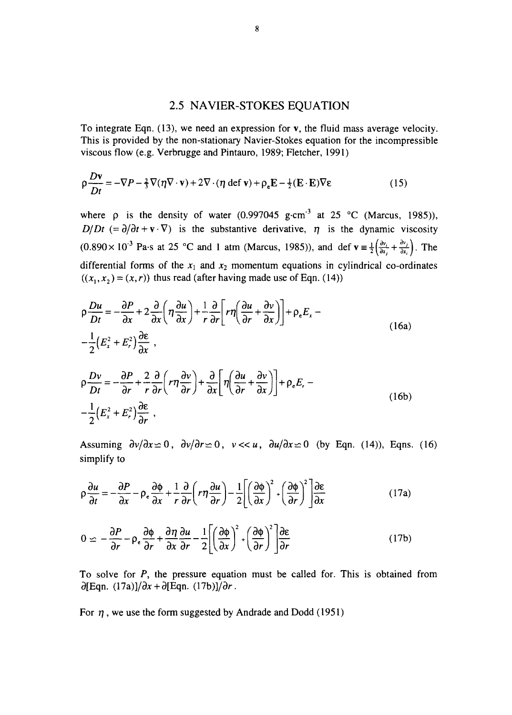#### 2.5 NAVIER-STOKES EQUATION

To integrate Eqn. (13), we need an expression for v, the fluid mass average velocity. This is provided by the non-stationary Navier-Stokes equation for the incompressible viscous flow (e.g. Verbrugge and Pintauro, 1989; Fletcher, 1991)

$$
\rho \frac{D\mathbf{v}}{Dt} = -\nabla P - \frac{2}{3}\nabla(\eta \nabla \cdot \mathbf{v}) + 2\nabla \cdot (\eta \text{ def } \mathbf{v}) + \rho_e \mathbf{E} - \frac{1}{2}(\mathbf{E} \cdot \mathbf{E})\nabla \varepsilon
$$
 (15)

where  $\rho$  is the density of water (0.997045 g·cm<sup>-3</sup> at 25 °C (Marcus, 1985)), *D/Dt*  $(=\partial/\partial t + \mathbf{v} \cdot \nabla)$  is the substantive derivative,  $\eta$  is the dynamic viscosity  $(0.890 \times 10^{-3}$  Pa·s at 25 °C and 1 atm (Marcus, 1985)), and def  $\mathbf{v} = \frac{1}{2} \left( \frac{\partial v_i}{\partial x} + \frac{\partial v_j}{\partial x} \right)$ . The differential forms of the  $x_1$  and  $x_2$  momentum equations in cylindrical co-ordinates  $((x_1, x_2) = (x, r))$  thus read (after having made use of Eqn. (14))

$$
\rho \frac{Du}{Dt} = -\frac{\partial P}{\partial x} + 2\frac{\partial}{\partial x} \left( \eta \frac{\partial u}{\partial x} \right) + \frac{1}{r} \frac{\partial}{\partial r} \left[ r \eta \left( \frac{\partial u}{\partial r} + \frac{\partial v}{\partial x} \right) \right] + \rho_e E_x -
$$
\n
$$
-\frac{1}{2} \left( E_x^2 + E_r^2 \right) \frac{\partial \varepsilon}{\partial x} ,
$$
\n
$$
\rho \frac{Dv}{Dt} = -\frac{\partial P}{\partial r} + \frac{2}{r} \frac{\partial}{\partial r} \left( r \eta \frac{\partial v}{\partial r} \right) + \frac{\partial}{\partial x} \left[ \eta \left( \frac{\partial u}{\partial r} + \frac{\partial v}{\partial x} \right) \right] + \rho_e E_r -
$$
\n
$$
-\frac{1}{2} \left( E_x^2 + E_r^2 \right) \frac{\partial \varepsilon}{\partial r} ,
$$
\n(16b)

Assuming  $\partial v/\partial x \simeq 0$ ,  $\partial v/\partial r \simeq 0$ ,  $v \ll u$ ,  $\partial u/\partial x \simeq 0$  (by Eqn. (14)), Eqns. (16) simplify to

$$
\rho \frac{\partial u}{\partial t} = -\frac{\partial P}{\partial x} - \rho_e \frac{\partial \phi}{\partial x} + \frac{1}{r} \frac{\partial}{\partial r} \left( r \eta \frac{\partial u}{\partial r} \right) - \frac{1}{2} \left[ \left( \frac{\partial \phi}{\partial x} \right)^2 + \left( \frac{\partial \phi}{\partial r} \right)^2 \right] \frac{\partial \varepsilon}{\partial x}
$$
(17a)

$$
0 \simeq -\frac{\partial P}{\partial r} - \rho_e \frac{\partial \phi}{\partial r} + \frac{\partial \eta}{\partial x} \frac{\partial u}{\partial r} - \frac{1}{2} \left[ \left( \frac{\partial \phi}{\partial x} \right)^2 + \left( \frac{\partial \phi}{\partial r} \right)^2 \right] \frac{\partial \varepsilon}{\partial r}
$$
(17b)

To solve for *P,* the pressure equation must be called for. This is obtained from  $\partial$ [Eqn. (17a)] $/\partial x + \partial$ [Eqn. (17b)] $/\partial r$ .

For  $\eta$ , we use the form suggested by Andrade and Dodd (1951)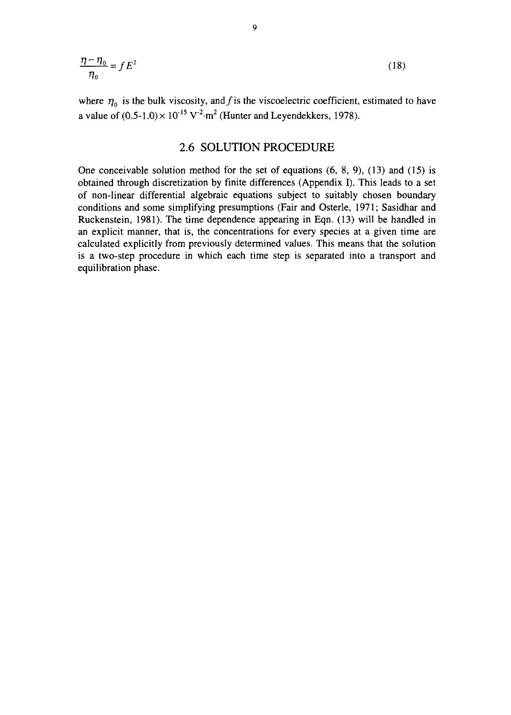$$
\frac{\eta - \eta_0}{\eta_0} = f E^2 \tag{18}
$$

where  $\eta_0$  is the bulk viscosity, and f is the viscoelectric coefficient, estimated to have a value of  $(0.5{\text -}1.0) \times 10^{-15} \text{ V}^2{\cdot} \text{m}^2$  (Hunter and Leyendekkers, 1978).

#### 2.6 SOLUTION PROCEDURE

One conceivable solution method for the set of equations (6, 8, 9), (13) and (15) is obtained through discretization by finite differences (Appendix I). This leads to a set of non-linear differential algebraic equations subject to suitably chosen boundary conditions and some simplifying presumptions (Fair and Osterle, 1971; Sasidhar and Ruckenstein, 1981). The time dependence appearing in Eqn. (13) will be handled in an explicit manner, that is, the concentrations for every species at a given time are calculated explicitly from previously determined values. This means that the solution is a two-step procedure in which each time step is separated into a transport and equilibration phase.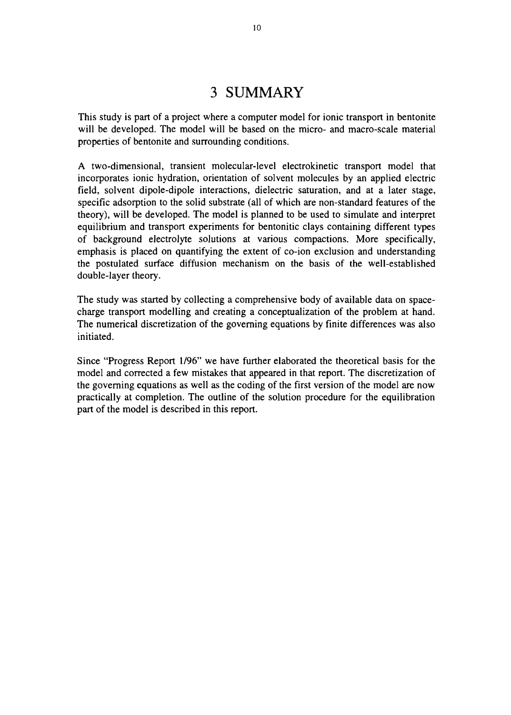# 3 SUMMARY

This study is part of a project where a computer model for ionic transport in bentonite will be developed. The model will be based on the micro- and macro-scale material properties of bentonite and surrounding conditions.

A two-dimensional, transient molecular-level electrokinetic transport model that incorporates ionic hydration, orientation of solvent molecules by an applied electric field, solvent dipole-dipole interactions, dielectric saturation, and at a later stage, specific adsorption to the solid substrate (all of which are non-standard features of the theory), will be developed. The model is planned to be used to simulate and interpret equilibrium and transport experiments for bentonitic clays containing different types of background electrolyte solutions at various compactions. More specifically, emphasis is placed on quantifying the extent of co-ion exclusion and understanding the postulated surface diffusion mechanism on the basis of the well-established double-layer theory.

The study was started by collecting a comprehensive body of available data on spacecharge transport modelling and creating a conceptualization of the problem at hand. The numerical discretization of the governing equations by finite differences was also initiated.

Since "Progress Report 1/96" we have further elaborated the theoretical basis for the model and corrected a few mistakes that appeared in that report. The discretization of the governing equations as well as the coding of the first version of the model are now practically at completion. The outline of the solution procedure for the equilibration part of the model is described in this report.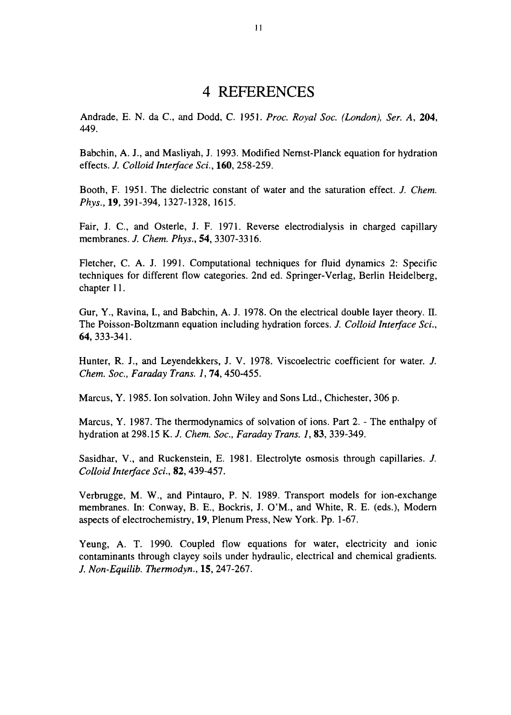# 4 REFERENCES

Andrade, E. N. da C, and Dodd, C. 1951. *Proc. Royal Soc. (London), Ser. A,* 204, 449.

Babchin, A. J., and Masliyah, J. 1993. Modified Nernst-Planck equation for hydration effects. *J. Colloid Interface Sci.,* 160, 258-259.

Booth, F. 1951. The dielectric constant of water and the saturation effect. *J. Chem. Phys.,* 19, 391-394, 1327-1328, 1615.

Fair, J. C, and Osterle, J. F. 1971. Reverse electrodialysis in charged capillary membranes. /. *Chem. Phys.,* 54, 3307-3316.

Fletcher, C. A. J. 1991. Computational techniques for fluid dynamics 2: Specific techniques for different flow categories. 2nd ed. Springer-Verlag, Berlin Heidelberg, chapter 11.

Gur, Y., Ravina, I., and Babchin, A. J. 1978. On the electrical double layer theory. II. The Poisson-Boltzmann equation including hydration forces. *J. Colloid Interface Sci.,* 64,333-341.

Hunter, R. J., and Leyendekkers, J. V. 1978. Viscoelectric coefficient for water. /. *Chem. Soc, Faraday Trans. 1,* 74, 450-455.

Marcus, Y. 1985. Ion solvation. John Wiley and Sons Ltd., Chichester, 306 p.

Marcus, Y. 1987. The thermodynamics of solvation of ions. Part 2. - The enthalpy of hydration at 298.15 K. *J. Chem. Soc, Faraday Trans. 1,* 83, 339-349.

Sasidhar, V., and Ruckenstein, E. 1981. Electrolyte osmosis through capillaries. *J. Colloid Interface Sci.,* 82, 439-457.

Verbrugge, M. W., and Pintauro, P. N. 1989. Transport models for ion-exchange membranes. In: Conway, B. E., Bockris, J. O'M., and White, R. E. (eds.), Modern aspects of electrochemistry, 19, Plenum Press, New York. Pp. 1-67.

Yeung, A. T. 1990. Coupled flow equations for water, electricity and ionic contaminants through clayey soils under hydraulic, electrical and chemical gradients. *J. Non-Equilib. Thermodyn.,* 15, 247-267.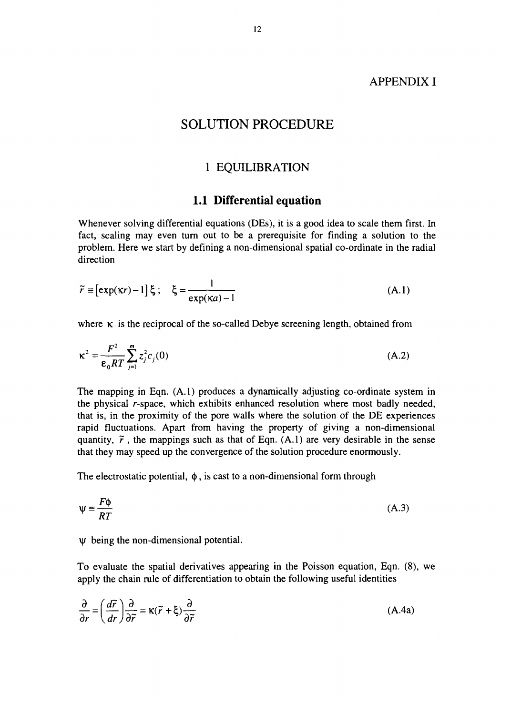#### APPENDIX I

#### SOLUTION PROCEDURE

#### 1 EQUILIBRATION

#### 1.1 Differential equation

Whenever solving differential equations (DEs), it is a good idea to scale them first. In fact, scaling may even turn out to be a prerequisite for finding a solution to the problem. Here we start by defining a non-dimensional spatial co-ordinate in the radial direction

$$
\tilde{r} \equiv \left[ \exp(\kappa r) - 1 \right] \xi \, ; \quad \xi = \frac{1}{\exp(\kappa a) - 1} \tag{A.1}
$$

where  $\kappa$  is the reciprocal of the so-called Debye screening length, obtained from

$$
\kappa^2 = \frac{F^2}{\varepsilon_0 RT} \sum_{j=1}^m z_j^2 c_j(0) \tag{A.2}
$$

The mapping in Eqn. (A.I) produces a dynamically adjusting co-ordinate system in the physical r-space, which exhibits enhanced resolution where most badly needed, that is, in the proximity of the pore walls where the solution of the DE experiences rapid fluctuations. Apart from having the property of giving a non-dimensional quantity,  $\tilde{r}$ , the mappings such as that of Eqn. (A.1) are very desirable in the sense that they may speed up the convergence of the solution procedure enormously.

The electrostatic potential,  $\phi$ , is cast to a non-dimensional form through

$$
\Psi \equiv \frac{F\Phi}{RT} \tag{A.3}
$$

#### $\Psi$  being the non-dimensional potential.

To evaluate the spatial derivatives appearing in the Poisson equation, Eqn. (8), we apply the chain rule of differentiation to obtain the following useful identities

$$
\frac{\partial}{\partial r} = \left(\frac{d\tilde{r}}{dr}\right)\frac{\partial}{\partial \tilde{r}} = \kappa(\tilde{r} + \xi)\frac{\partial}{\partial \tilde{r}}
$$
(A.4a)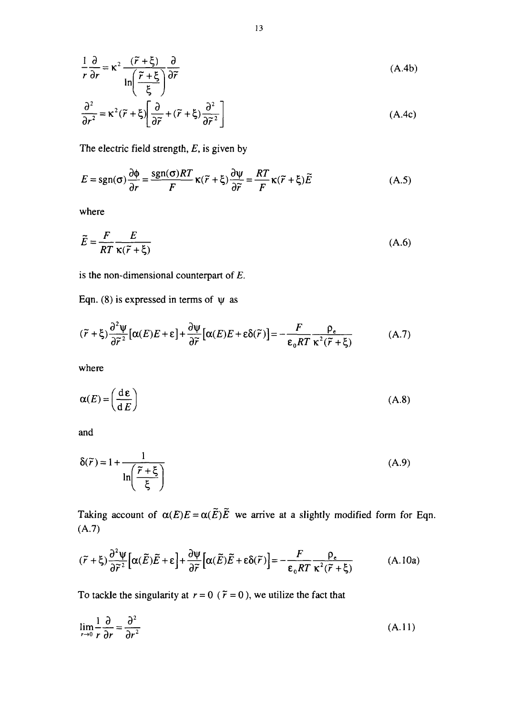$$
\frac{1}{r}\frac{\partial}{\partial r} = \kappa^2 \frac{(\tilde{r} + \xi)}{\ln\left(\frac{\tilde{r} + \xi}{\xi}\right)} \frac{\partial}{\partial \tilde{r}}
$$
\n(A.4b)\n
$$
\frac{\partial^2}{\partial r^2} = \kappa^2 (\tilde{r} + \xi) \left[ \frac{\partial}{\partial \tilde{r}} + (\tilde{r} + \xi) \frac{\partial^2}{\partial \tilde{r}^2} \right]
$$
\n(A.4c)

The electric field strength, *E,* is given by

$$
E = sgn(\sigma) \frac{\partial \phi}{\partial r} = \frac{sgn(\sigma)RT}{F} \kappa(\tilde{r} + \xi) \frac{\partial \psi}{\partial \tilde{r}} = \frac{RT}{F} \kappa(\tilde{r} + \xi) \tilde{E}
$$
(A.5)

where

$$
\widetilde{E} = \frac{F}{RT} \frac{E}{\kappa(\widetilde{r} + \xi)}
$$
\n(A.6)

is the non-dimensional counterpart of *E.*

Eqn. (8) is expressed in terms of  $\psi$  as

$$
(\tilde{r} + \xi) \frac{\partial^2 \psi}{\partial \tilde{r}^2} [\alpha(E)E + \varepsilon] + \frac{\partial \psi}{\partial \tilde{r}} [\alpha(E)E + \varepsilon \delta(\tilde{r})] = -\frac{F}{\varepsilon_0 RT} \frac{\rho_{\varepsilon}}{\kappa^2 (\tilde{r} + \xi)}
$$
(A.7)

where

$$
\alpha(E) = \left(\frac{\mathrm{d}\,\varepsilon}{\mathrm{d}\,E}\right) \tag{A.8}
$$

and

$$
\delta(\tilde{r}) = 1 + \frac{1}{\ln\left(\frac{\tilde{r} + \xi}{\xi}\right)}
$$
(A.9)

Taking account of  $\alpha(E)E = \alpha(\tilde{E})\tilde{E}$  we arrive at a slightly modified form for Eqn. (A.7)

$$
(\tilde{r} + \xi) \frac{\partial^2 \psi}{\partial \tilde{r}^2} \Big[ \alpha(\tilde{E}) \tilde{E} + \varepsilon \Big] + \frac{\partial \psi}{\partial \tilde{r}} \Big[ \alpha(\tilde{E}) \tilde{E} + \varepsilon \delta(\tilde{r}) \Big] = -\frac{F}{\varepsilon_0 RT} \frac{\rho_{\varepsilon}}{\kappa^2 (\tilde{r} + \xi)} \tag{A.10a}
$$

To tackle the singularity at  $r = 0$  ( $\tilde{r} = 0$ ), we utilize the fact that

$$
\lim_{r \to 0} \frac{1}{r} \frac{\partial}{\partial r} = \frac{\partial^2}{\partial r^2}
$$
\n(A.11)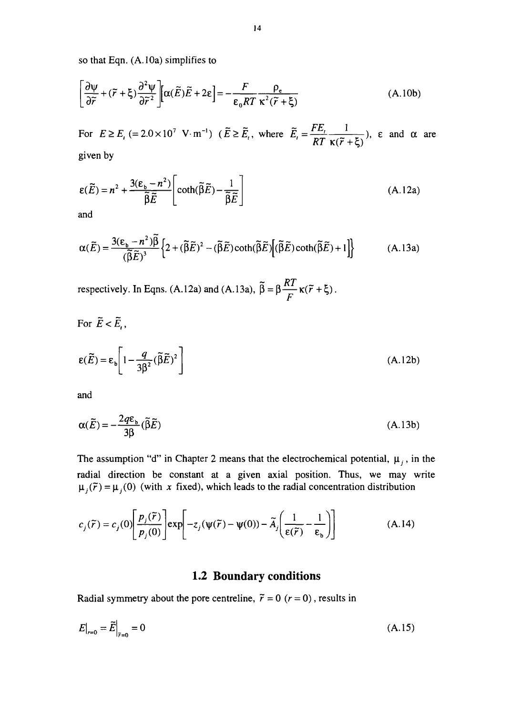so that Eqn. (A. 10a) simplifies to

$$
\left[\frac{\partial \psi}{\partial \tilde{r}} + (\tilde{r} + \xi) \frac{\partial^2 \psi}{\partial \tilde{r}^2}\right] \left[\alpha(\tilde{E})\tilde{E} + 2\varepsilon\right] = -\frac{F}{\varepsilon_0 RT} \frac{\rho_e}{\kappa^2(\tilde{r} + \xi)}
$$
(A.10b)

For  $E \ge E_i$  (= 2.0 × 10<sup>7</sup> V·m<sup>-1</sup>) ( $\tilde{E} \ge \tilde{E}_i$ , where  $\tilde{E}_i = \frac{FE_i}{RT} \frac{1}{\tilde{E}(\tilde{E}_i + \tilde{E}_i)}$ ,  $\varepsilon$  and  $\alpha$  are  $RT$  **K**( $\tilde{r}$  +**ξ**)<sup> $\prime$ </sup> given by

$$
\varepsilon(\widetilde{E}) = n^2 + \frac{3(\varepsilon_b - n^2)}{\widetilde{\beta}\widetilde{E}} \left[ \coth(\widetilde{\beta}\widetilde{E}) - \frac{1}{\widetilde{\beta}\widetilde{E}} \right]
$$
(A.12a)

and

$$
\alpha(\widetilde{E}) = \frac{3(\epsilon_b - n^2)\widetilde{\beta}}{(\widetilde{\beta}\widetilde{E})^3} \left\{ 2 + (\widetilde{\beta}\widetilde{E})^2 - (\widetilde{\beta}\widetilde{E})\coth(\widetilde{\beta}\widetilde{E})\left[ (\widetilde{\beta}\widetilde{E})\coth(\widetilde{\beta}\widetilde{E}) + 1 \right] \right\}
$$
(A.13a)

respectively. In Eqns. (A.12a) and (A.13a),  $\beta = \beta \frac{\Delta T}{T} \kappa (\tilde{r} +$ *F*

For 
$$
\tilde{E} < \tilde{E}_i
$$
,  
\n
$$
\varepsilon(\tilde{E}) = \varepsilon_b \left[ 1 - \frac{q}{3\beta^2} (\tilde{\beta}\tilde{E})^2 \right]
$$
\n(A.12b)

and

$$
\alpha(\widetilde{E}) = -\frac{2q\epsilon_b}{3\beta}(\widetilde{\beta}\widetilde{E})\tag{A.13b}
$$

The assumption "d" in Chapter 2 means that the electrochemical potential,  $\mu_i$ , in the radial direction be constant at a given axial position. Thus, we may write  $\mu_j(\tilde{r}) = \mu_j(0)$  (with x fixed), which leads to the radial concentration distribution

$$
c_j(\tilde{r}) = c_j(0) \left[ \frac{p_j(\tilde{r})}{p_j(0)} \right] \exp \left[ -z_j(\psi(\tilde{r}) - \psi(0)) - \tilde{A}_j \left( \frac{1}{\varepsilon(\tilde{r})} - \frac{1}{\varepsilon_b} \right) \right]
$$
(A.14)

#### **1.2 Boundary conditions**

Radial symmetry about the pore centreline,  $\tilde{r} = 0$  ( $r = 0$ ), results in

$$
E|_{r=0} = \tilde{E}|_{\tilde{r}=0} = 0
$$
 (A.15)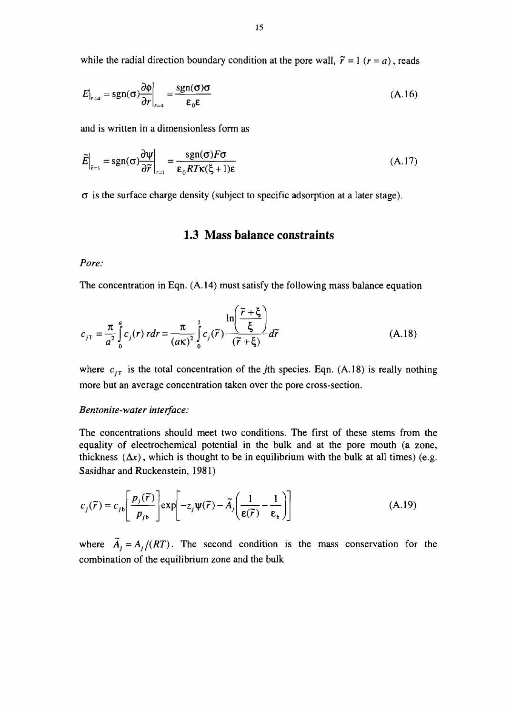while the radial direction boundary condition at the pore wall,  $\tilde{r} = 1$  ( $r = a$ ), reads

$$
E|_{r=a} = sgn(\sigma) \frac{\partial \phi}{\partial r}|_{r=a} = \frac{sgn(\sigma)\sigma}{\varepsilon_0 \varepsilon}
$$
 (A.16)

and is written in a dimensionless form as

$$
\widetilde{E}\Big|_{\widetilde{r}=1} = \text{sgn}(\sigma) \frac{\partial \psi}{\partial \widetilde{r}}\Big|_{r=1} = \frac{\text{sgn}(\sigma) F \sigma}{\epsilon_0 R T \kappa(\xi + 1)\epsilon}
$$
(A.17)

 $\sigma$  is the surface charge density (subject to specific adsorption at a later stage).

#### 1.3 Mass balance constraints

#### *Pore:*

The concentration in Eqn. (A. 14) must satisfy the following mass balance equation

$$
c_{j\tau} = \frac{\pi}{a^2} \int_0^a c_j(r) \, r dr = \frac{\pi}{(a\kappa)^2} \int_0^1 c_j(\tilde{r}) \frac{\ln\left(\frac{\tilde{r} + \xi}{\xi}\right)}{(\tilde{r} + \xi)} d\tilde{r}
$$
\n(A.18)

where  $c_{iT}$  is the total concentration of the *j*th species. Eqn. (A.18) is really nothing more but an average concentration taken over the pore cross-section.

#### *Bentonite-water interface:*

The concentrations should meet two conditions. The first of these stems from the equality of electrochemical potential in the bulk and at the pore mouth (a zone, thickness  $(\Delta x)$ , which is thought to be in equilibrium with the bulk at all times) (e.g. Sasidhar and Ruckenstein, 1981)

$$
c_j(\tilde{r}) = c_{jb} \left[ \frac{p_j(\tilde{r})}{p_{jb}} \right] \exp \left[ -z_j \Psi(\tilde{r}) - \tilde{A}_j \left( \frac{1}{\epsilon(\tilde{r})} - \frac{1}{\epsilon_b} \right) \right]
$$
(A.19)

where  $\tilde{A}_i = A_i/(RT)$ . The second condition is the mass conservation for the combination of the equilibrium zone and the bulk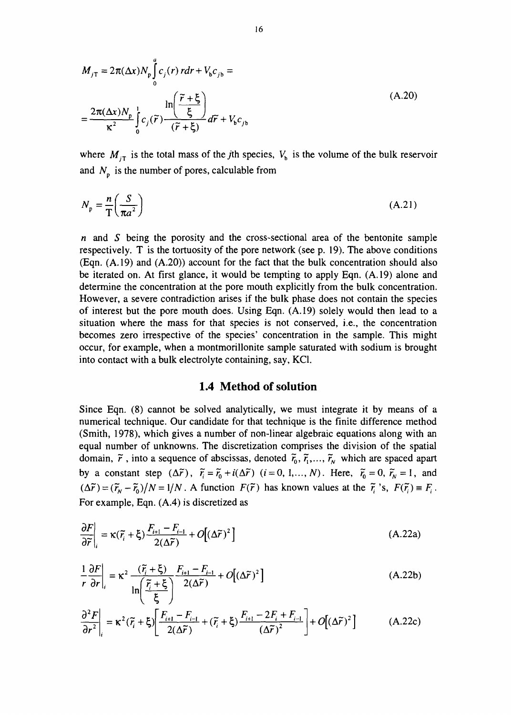$$
M_{j\text{T}} = 2\pi (\Delta x) N_{\text{p}} \int_{0}^{a} c_{j}(r) r dr + V_{\text{b}} c_{j\text{b}} =
$$
  
= 
$$
\frac{2\pi (\Delta x) N_{\text{p}}}{\kappa^{2}} \int_{0}^{1} c_{j}(\tilde{r}) \frac{\ln(\frac{\tilde{r} + \xi}{\xi})}{(\tilde{r} + \xi)} d\tilde{r} + V_{\text{b}} c_{j\text{b}}
$$
 (A.20)

where  $M_{jT}$  is the total mass of the *j*th species,  $V_b$  is the volume of the bulk reservoir and  $N_p$  is the number of pores, calculable from

$$
N_{\rm p} = \frac{n}{\rm T} \left( \frac{S}{\pi a^2} \right) \tag{A.21}
$$

*n* and *S* being the porosity and the cross-sectional area of the bentonite sample respectively. T is the tortuosity of the pore network (see p. 19). The above conditions  $(Enn. (A.19)$  and  $(A.20)$  account for the fact that the bulk concentration should also be iterated on. At first glance, it would be tempting to apply Eqn. (A. 19) alone and determine the concentration at the pore mouth explicitly from the bulk concentration. However, a severe contradiction arises if the bulk phase does not contain the species of interest but the pore mouth does. Using Eqn. (A. 19) solely would then lead to a situation where the mass for that species is not conserved, i.e., the concentration becomes zero irrespective of the species' concentration in the sample. This might occur, for example, when a montmorillonite sample saturated with sodium is brought into contact with a bulk electrolyte containing, say, KC1.

#### 1.4 Method of solution

Since Eqn. (8) cannot be solved analytically, we must integrate it by means of a numerical technique. Our candidate for that technique is the finite difference method (Smith, 1978), which gives a number of non-linear algebraic equations along with an equal number of unknowns. The discretization comprises the division of the spatial domain,  $\tilde{r}$ , into a sequence of abscissas, denoted  $\tilde{r}_0$ ,  $\tilde{r}_1$ ,...,  $\tilde{r}_N$  which are spaced apart by a constant step  $(\Delta \tilde{r})$ ,  $\tilde{r}_i = \tilde{r}_0 + i(\Delta \tilde{r})$   $(i = 0, 1, ..., N)$ . Here,  $\tilde{r}_0 = 0$ ,  $\tilde{r}_N = 1$ , and  $(\Delta \tilde{r}) = (\tilde{r}_N - \tilde{r}_0)/N = 1/N$ . A function  $F(\tilde{r})$  has known values at the  $\tilde{r}_i$ 's,  $F(\tilde{r}_i) \equiv F_i$ . For example, Eqn. (A.4) is discretized as

$$
\frac{\partial F}{\partial \widetilde{r}}\bigg|_{i} = \kappa(\widetilde{r}_{i} + \xi) \frac{F_{i+1} - F_{i-1}}{2(\Delta \widetilde{r})} + O[(\Delta \widetilde{r})^{2}]
$$
\n(A.22a)

$$
\frac{1}{r}\frac{\partial F}{\partial r}\bigg|_{i} = \kappa^{2} \frac{(\tilde{r}_{i} + \xi)}{\ln\left(\frac{\tilde{r}_{i} + \xi}{\xi}\right)} \frac{F_{i+1} - F_{i-1}}{2(\Delta \tilde{r})} + O[(\Delta \tilde{r})^{2}]
$$
\n(A.22b)

$$
\frac{\partial^2 F}{\partial r^2}\bigg|_i = \kappa^2 (\tilde{r}_i + \xi) \bigg[ \frac{F_{i+1} - F_{i-1}}{2(\Delta \tilde{r})} + (\tilde{r}_i + \xi) \frac{F_{i+1} - 2F_i + F_{i-1}}{(\Delta \tilde{r})^2} \bigg] + O[(\Delta \tilde{r})^2]
$$
(A.22c)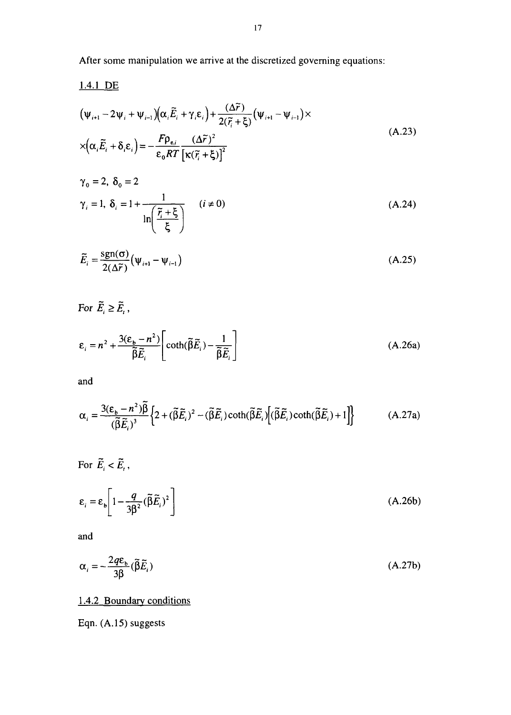After some manipulation we arrive at the discretized governing equations:

1.4.1 DE  
\n
$$
(\psi_{i+1} - 2\psi_i + \psi_{i-1})(\alpha_i \tilde{E}_i + \gamma_i \varepsilon_i) + \frac{(\Delta \tilde{r})}{2(\tilde{r}_i + \xi)}(\psi_{i+1} - \psi_{i-1}) \times
$$
\n
$$
\times (\alpha_i \tilde{E}_i + \delta_i \varepsilon_i) = -\frac{F \rho_{\varepsilon,i}}{\varepsilon_0 RT} \frac{(\Delta \tilde{r})^2}{\left[\kappa(\tilde{r}_i + \xi)\right]^2}
$$
\n(A.23)

$$
\gamma_0 = 2, \ \delta_0 = 2
$$
  

$$
\gamma_i = 1, \ \delta_i = 1 + \frac{1}{\ln\left(\frac{\tilde{r}_i + \xi}{\xi}\right)} \qquad (i \neq 0)
$$
 (A.24)

$$
\widetilde{E}_i = \frac{\text{sgn}(\sigma)}{2(\Delta \widetilde{r})} \left( \Psi_{i+1} - \Psi_{i-1} \right)
$$
\n(A.25)

For  $\widetilde{E}_i\geq \widetilde{E}_i$  ,

$$
\varepsilon_{i} = n^{2} + \frac{3(\varepsilon_{b} - n^{2})}{\tilde{\beta}\tilde{E}_{i}} \left[ \coth(\tilde{\beta}\tilde{E}_{i}) - \frac{1}{\tilde{\beta}\tilde{E}_{i}} \right]
$$
(A.26a)

and

$$
\alpha_i = \frac{3(\varepsilon_b - n^2)\tilde{\beta}}{(\tilde{\beta}\tilde{E}_i)^3} \left\{ 2 + (\tilde{\beta}\tilde{E}_i)^2 - (\tilde{\beta}\tilde{E}_i)\coth(\tilde{\beta}\tilde{E}_i) \left[ (\tilde{\beta}\tilde{E}_i)\coth(\tilde{\beta}\tilde{E}_i) + 1 \right] \right\}
$$
(A.27a)

For  $\widetilde{E}_i < \widetilde{E}_i$ ,

$$
\varepsilon_i = \varepsilon_b \left[ 1 - \frac{q}{3\beta^2} (\tilde{\beta} \tilde{E}_i)^2 \right]
$$
 (A.26b)

and

$$
\alpha_i = -\frac{2q\varepsilon_b}{3\beta}(\tilde{\beta}\tilde{E}_i)
$$
 (A.27b)

#### 1.4.2 Boundary conditions

Eqn. (A.15) suggests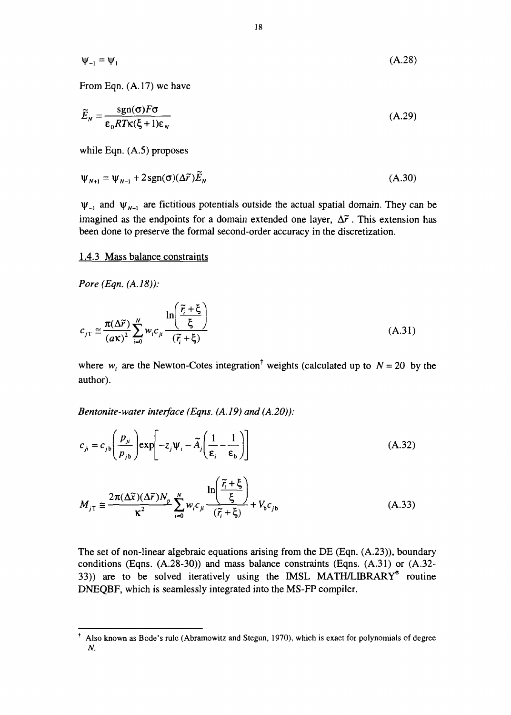$$
\Psi_{-1} = \Psi_1 \tag{A.28}
$$

From Eqn. (A. 17) we have

$$
\widetilde{E}_N = \frac{\text{sgn}(\sigma) F \sigma}{\epsilon_0 R T \kappa (\xi + 1) \epsilon_N} \tag{A.29}
$$

while Eqn. (A.5) proposes

$$
\Psi_{N+1} = \Psi_{N-1} + 2\operatorname{sgn}(\sigma)(\Delta \widetilde{r})\widetilde{E}_N
$$
\n(A.30)

 $\psi_{-1}$  and  $\psi_{N+1}$  are fictitious potentials outside the actual spatial domain. They can be imagined as the endpoints for a domain extended one layer,  $\Delta \tilde{r}$ . This extension has been done to preserve the formal second-order accuracy in the discretization.

#### 1.4.3 Mass balance constraints

*Pore (Eqn. (A. 18)):*

$$
c_{jT} \cong \frac{\pi(\Delta \tilde{r})}{(a\kappa)^2} \sum_{i=0}^{N} w_i c_{ji} \frac{\ln\left(\frac{\tilde{r}_i + \xi}{\xi}\right)}{(\tilde{r}_i + \xi)}
$$
(A.31)

where  $w_i$  are the Newton-Cotes integration<sup>†</sup> weights (calculated up to  $N = 20$  by the author).

*Bentonite-water interface (Eqns. (A. 19) and (A.20)):*

$$
c_{ji} = c_{jb} \left( \frac{p_{ji}}{p_{jb}} \right) \exp \left[ -z_j \psi_i - \tilde{A}_j \left( \frac{1}{\varepsilon_i} - \frac{1}{\varepsilon_b} \right) \right]
$$
 (A.32)

$$
M_{jT} \cong \frac{2\pi(\Delta\tilde{x})(\Delta\tilde{r})N_p}{\kappa^2} \sum_{i=0}^{N} w_i c_{ji} \frac{\ln\left(\frac{\tilde{r}_i + \xi}{\xi}\right)}{(\tilde{r}_i + \xi)} + V_b c_{jb}
$$
 (A.33)

The set of non-linear algebraic equations arising from the DE (Eqn. (A.23)), boundary conditions (Eqns. (A.28-30)) and mass balance constraints (Eqns. (A.31) or (A.32- 33)) are to be solved iteratively using the MSL MATH/LIBRARY® routine DNEQBF, which is seamlessly integrated into the MS-FP compiler.

f Also known as Bode's rule (Abramowitz and Stegun, 1970), which is exact for polynomials of degree *N.*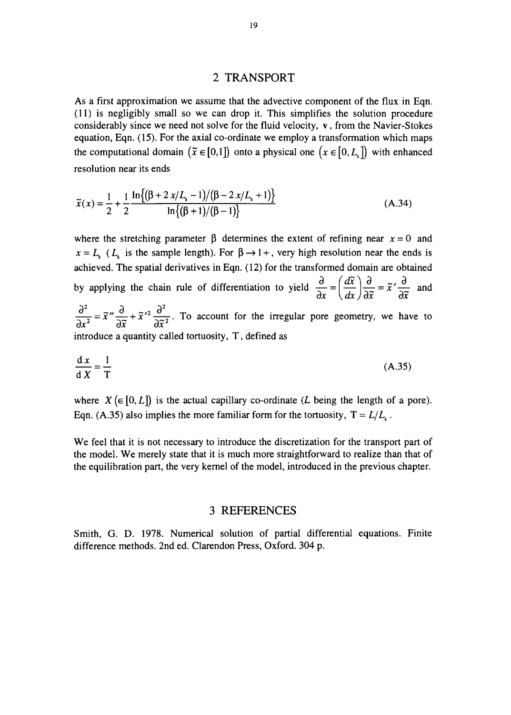#### 2 TRANSPORT

As a first approximation we assume that the advective component of the flux in Eqn. (11) is negligibly small so we can drop it. This simplifies the solution procedure considerably since we need not solve for the fluid velocity, v, from the Navier-Stokes equation, Eqn. (15). For the axial co-ordinate we employ a transformation which maps the computational domain  $(\tilde{x} \in [0,1])$  onto a physical one  $(x \in [0, L_{s}])$  with enhanced resolution near its ends

$$
\widetilde{x}(x) = \frac{1}{2} + \frac{1}{2} \frac{\ln\{(\beta + 2x/L_s - 1)/(\beta - 2x/L_s + 1)\}}{\ln\{(\beta + 1)/(\beta - 1)\}}
$$
(A.34)

where the stretching parameter  $\beta$  determines the extent of refining near  $x = 0$  and  $x = L$ <sup>*s*</sup> ( $L$ <sup>*s*</sup> is the sample length). For  $\beta \rightarrow 1+$ , very high resolution near the ends is achieved. The spatial derivatives in Eqn. (12) for the transformed domain are obtained by applying the chain rule of differentiation to yield  $\frac{1}{2} = \frac{2\pi}{L} \left| \frac{1}{2\pi} \right| = \frac{\pi}{2} \left| \frac{1}{2\pi} \right|$ *ox \dx Jox ox*  $\frac{\partial^2}{\partial x^2} = \frac{\partial^2}{\partial y^2} + \frac{\partial^2}{\partial z^2}$  $\frac{\partial}{\partial x^2}$   $\frac{\partial}{\partial x^2}$   $\frac{\partial}{\partial x^2}$ . To account for the irregular pore geometry, we have to introduce a quantity called tortuosity, T, defined as

$$
\frac{\mathrm{d}x}{\mathrm{d}x} = \frac{1}{T} \tag{A.35}
$$

where  $X(\in [0, L])$  is the actual capillary co-ordinate (L being the length of a pore). Eqn. (A.35) also implies the more familiar form for the tortuosity,  $T = L/L<sub>s</sub>$ .

We feel that it is not necessary to introduce the discretization for the transport part of the model. We merely state that it is much more straightforward to realize than that of the equilibration part, the very kernel of the model, introduced in the previous chapter.

#### 3 REFERENCES

Smith, G. D. 1978. Numerical solution of partial differential equations. Finite difference methods. 2nd ed. Clarendon Press, Oxford. 304 p.